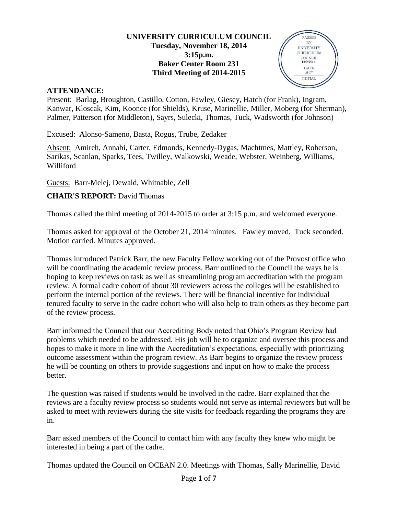#### **UNIVERSITY CURRICULUM COUNCIL Tuesday, November 18, 2014 3:15p.m. Baker Center Room 231 Third Meeting of 2014-2015**

PASSED BY **UNIVERSITY CURRICULUM**  $\begin{array}{c} \text{COUNTL} \\ 12/9/2014 \end{array}$ DATE  $\mathcal{L}\mathcal{I}$ **INITIAL** 



Present: Barlag, Broughton, Castillo, Cotton, Fawley, Giesey, Hatch (for Frank), Ingram, Kanwar, Kloscak, Kim, Koonce (for Shields), Kruse, Marinellie, Miller, Moberg (for Sherman), Palmer, Patterson (for Middleton), Sayrs, Sulecki, Thomas, Tuck, Wadsworth (for Johnson)

Excused: Alonso-Sameno, Basta, Rogus, Trube, Zedaker

Absent: Amireh, Annabi, Carter, Edmonds, Kennedy-Dygas, Machtmes, Mattley, Roberson, Sarikas, Scanlan, Sparks, Tees, Twilley, Walkowski, Weade, Webster, Weinberg, Williams, Williford

Guests: Barr-Melej, Dewald, Whitnable, Zell

#### **CHAIR'S REPORT:** David Thomas

Thomas called the third meeting of 2014-2015 to order at 3:15 p.m. and welcomed everyone.

Thomas asked for approval of the October 21, 2014 minutes. Fawley moved. Tuck seconded. Motion carried. Minutes approved.

Thomas introduced Patrick Barr, the new Faculty Fellow working out of the Provost office who will be coordinating the academic review process. Barr outlined to the Council the ways he is hoping to keep reviews on task as well as streamlining program accreditation with the program review. A formal cadre cohort of about 30 reviewers across the colleges will be established to perform the internal portion of the reviews. There will be financial incentive for individual tenured faculty to serve in the cadre cohort who will also help to train others as they become part of the review process.

Barr informed the Council that our Accrediting Body noted that Ohio's Program Review had problems which needed to be addressed. His job will be to organize and oversee this process and hopes to make it more in line with the Accreditation's expectations, especially with prioritizing outcome assessment within the program review. As Barr begins to organize the review process he will be counting on others to provide suggestions and input on how to make the process better.

The question was raised if students would be involved in the cadre. Barr explained that the reviews are a faculty review process so students would not serve as internal reviewers but will be asked to meet with reviewers during the site visits for feedback regarding the programs they are in.

Barr asked members of the Council to contact him with any faculty they knew who might be interested in being a part of the cadre.

Thomas updated the Council on OCEAN 2.0. Meetings with Thomas, Sally Marinellie, David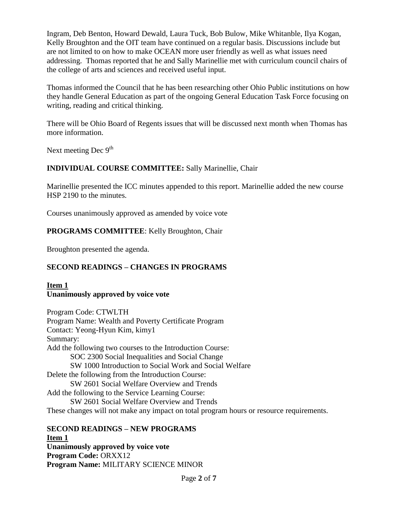Ingram, Deb Benton, Howard Dewald, Laura Tuck, Bob Bulow, Mike Whitanble, Ilya Kogan, Kelly Broughton and the OIT team have continued on a regular basis. Discussions include but are not limited to on how to make OCEAN more user friendly as well as what issues need addressing. Thomas reported that he and Sally Marinellie met with curriculum council chairs of the college of arts and sciences and received useful input.

Thomas informed the Council that he has been researching other Ohio Public institutions on how they handle General Education as part of the ongoing General Education Task Force focusing on writing, reading and critical thinking.

There will be Ohio Board of Regents issues that will be discussed next month when Thomas has more information.

Next meeting Dec 9<sup>th</sup>

## **INDIVIDUAL COURSE COMMITTEE:** Sally Marinellie, Chair

Marinellie presented the ICC minutes appended to this report. Marinellie added the new course HSP 2190 to the minutes.

Courses unanimously approved as amended by voice vote

## **PROGRAMS COMMITTEE**: Kelly Broughton, Chair

Broughton presented the agenda.

## **SECOND READINGS – CHANGES IN PROGRAMS**

#### **Item 1 Unanimously approved by voice vote**

Program Code: CTWLTH Program Name: Wealth and Poverty Certificate Program Contact: Yeong-Hyun Kim, kimy1 Summary: Add the following two courses to the Introduction Course: SOC 2300 Social Inequalities and Social Change SW 1000 Introduction to Social Work and Social Welfare Delete the following from the Introduction Course: SW 2601 Social Welfare Overview and Trends Add the following to the Service Learning Course: SW 2601 Social Welfare Overview and Trends These changes will not make any impact on total program hours or resource requirements.

#### **SECOND READINGS – NEW PROGRAMS Item 1 Unanimously approved by voice vote Program Code:** ORXX12 **Program Name:** MILITARY SCIENCE MINOR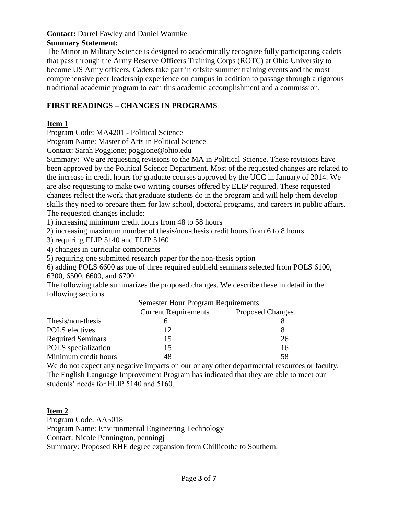#### **Contact:** Darrel Fawley and Daniel Warmke **Summary Statement:**

The Minor in Military Science is designed to academically recognize fully participating cadets that pass through the Army Reserve Officers Training Corps (ROTC) at Ohio University to become US Army officers. Cadets take part in offsite summer training events and the most comprehensive peer leadership experience on campus in addition to passage through a rigorous traditional academic program to earn this academic accomplishment and a commission.

# **FIRST READINGS – CHANGES IN PROGRAMS**

## **Item 1**

Program Code: MA4201 - Political Science

Program Name: Master of Arts in Political Science

Contact: Sarah Poggione; poggione@ohio.edu

Summary: We are requesting revisions to the MA in Political Science. These revisions have been approved by the Political Science Department. Most of the requested changes are related to the increase in credit hours for graduate courses approved by the UCC in January of 2014. We are also requesting to make two writing courses offered by ELIP required. These requested changes reflect the work that graduate students do in the program and will help them develop skills they need to prepare them for law school, doctoral programs, and careers in public affairs. The requested changes include:

1) increasing minimum credit hours from 48 to 58 hours

2) increasing maximum number of thesis/non-thesis credit hours from 6 to 8 hours

3) requiring ELIP 5140 and ELIP 5160

4) changes in curricular components

5) requiring one submitted research paper for the non-thesis option

6) adding POLS 6600 as one of three required subfield seminars selected from POLS 6100, 6300, 6500, 6600, and 6700

The following table summarizes the proposed changes. We describe these in detail in the following sections.

|                          | <b>Semester Hour Program Requirements</b> |                         |
|--------------------------|-------------------------------------------|-------------------------|
|                          | <b>Current Requirements</b>               | <b>Proposed Changes</b> |
| Thesis/non-thesis        |                                           |                         |
| <b>POLS</b> electives    | 12                                        |                         |
| <b>Required Seminars</b> | 15                                        | 26                      |
| POLS specialization      | 15                                        | 16                      |
| Minimum credit hours     | 48                                        | 58                      |

We do not expect any negative impacts on our or any other departmental resources or faculty. The English Language Improvement Program has indicated that they are able to meet our students' needs for ELIP 5140 and 5160.

## **Item 2**

Program Code: AA5018 Program Name: Environmental Engineering Technology Contact: Nicole Pennington, penningj Summary: Proposed RHE degree expansion from Chillicothe to Southern.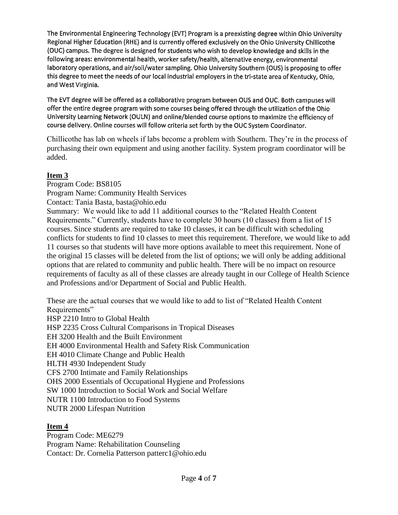The Environmental Engineering Technology (EVT) Program is a preexisting degree within Ohio University Regional Higher Education (RHE) and is currently offered exclusively on the Ohio University Chillicothe (OUC) campus. The degree is designed for students who wish to develop knowledge and skills in the following areas: environmental health, worker safety/health, alternative energy, environmental laboratory operations, and air/soil/water sampling. Ohio University Southern (OUS) is proposing to offer this degree to meet the needs of our local industrial employers in the tri-state area of Kentucky, Ohio, and West Virginia.

The EVT degree will be offered as a collaborative program between OUS and OUC. Both campuses will offer the entire degree program with some courses being offered through the utilization of the Ohio University Learning Network (OULN) and online/blended course options to maximize the efficiency of course delivery. Online courses will follow criteria set forth by the OUC System Coordinator.

Chillicothe has lab on wheels if labs become a problem with Southern. They're in the process of purchasing their own equipment and using another facility. System program coordinator will be added.

#### **Item 3**

Program Code: BS8105 Program Name: Community Health Services Contact: Tania Basta, basta@ohio.edu Summary: We would like to add 11 additional courses to the "Related Health Content Requirements." Currently, students have to complete 30 hours (10 classes) from a list of 15 courses. Since students are required to take 10 classes, it can be difficult with scheduling conflicts for students to find 10 classes to meet this requirement. Therefore, we would like to add 11 courses so that students will have more options available to meet this requirement. None of the original 15 classes will be deleted from the list of options; we will only be adding additional options that are related to community and public health. There will be no impact on resource requirements of faculty as all of these classes are already taught in our College of Health Science and Professions and/or Department of Social and Public Health.

These are the actual courses that we would like to add to list of "Related Health Content Requirements" HSP 2210 Intro to Global Health HSP 2235 Cross Cultural Comparisons in Tropical Diseases EH 3200 Health and the Built Environment EH 4000 Environmental Health and Safety Risk Communication EH 4010 Climate Change and Public Health HLTH 4930 Independent Study CFS 2700 Intimate and Family Relationships OHS 2000 Essentials of Occupational Hygiene and Professions SW 1000 Introduction to Social Work and Social Welfare NUTR 1100 Introduction to Food Systems NUTR 2000 Lifespan Nutrition

## **Item 4**

Program Code: ME6279 Program Name: Rehabilitation Counseling Contact: Dr. Cornelia Patterson patterc1@ohio.edu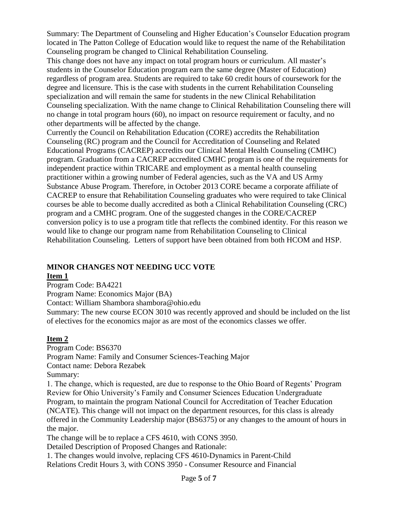Summary: The Department of Counseling and Higher Education's Counselor Education program located in The Patton College of Education would like to request the name of the Rehabilitation Counseling program be changed to Clinical Rehabilitation Counseling.

This change does not have any impact on total program hours or curriculum. All master's students in the Counselor Education program earn the same degree (Master of Education) regardless of program area. Students are required to take 60 credit hours of coursework for the degree and licensure. This is the case with students in the current Rehabilitation Counseling specialization and will remain the same for students in the new Clinical Rehabilitation Counseling specialization. With the name change to Clinical Rehabilitation Counseling there will no change in total program hours (60), no impact on resource requirement or faculty, and no other departments will be affected by the change.

Currently the Council on Rehabilitation Education (CORE) accredits the Rehabilitation Counseling (RC) program and the Council for Accreditation of Counseling and Related Educational Programs (CACREP) accredits our Clinical Mental Health Counseling (CMHC) program. Graduation from a CACREP accredited CMHC program is one of the requirements for independent practice within TRICARE and employment as a mental health counseling practitioner within a growing number of Federal agencies, such as the VA and US Army Substance Abuse Program. Therefore, in October 2013 CORE became a corporate affiliate of CACREP to ensure that Rehabilitation Counseling graduates who were required to take Clinical courses be able to become dually accredited as both a Clinical Rehabilitation Counseling (CRC) program and a CMHC program. One of the suggested changes in the CORE/CACREP conversion policy is to use a program title that reflects the combined identity. For this reason we would like to change our program name from Rehabilitation Counseling to Clinical Rehabilitation Counseling. Letters of support have been obtained from both HCOM and HSP.

# **MINOR CHANGES NOT NEEDING UCC VOTE**

## **Item 1**

Program Code: BA4221

Program Name: Economics Major (BA)

Contact: William Shambora shambora@ohio.edu

Summary: The new course ECON 3010 was recently approved and should be included on the list of electives for the economics major as are most of the economics classes we offer.

# **Item 2**

Program Code: BS6370

Program Name: Family and Consumer Sciences-Teaching Major

Contact name: Debora Rezabek

Summary:

1. The change, which is requested, are due to response to the Ohio Board of Regents' Program Review for Ohio University's Family and Consumer Sciences Education Undergraduate Program, to maintain the program National Council for Accreditation of Teacher Education (NCATE). This change will not impact on the department resources, for this class is already offered in the Community Leadership major (BS6375) or any changes to the amount of hours in the major.

The change will be to replace a CFS 4610, with CONS 3950.

Detailed Description of Proposed Changes and Rationale:

1. The changes would involve, replacing CFS 4610-Dynamics in Parent-Child Relations Credit Hours 3, with CONS 3950 - Consumer Resource and Financial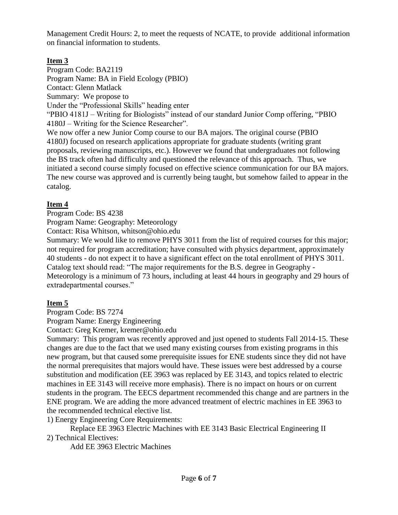Management Credit Hours: 2, to meet the requests of NCATE, to provide additional information on financial information to students.

# **Item 3**

Program Code: BA2119 Program Name: BA in Field Ecology (PBIO) Contact: Glenn Matlack Summary: We propose to Under the "Professional Skills" heading enter "PBIO 4181J – Writing for Biologists" instead of our standard Junior Comp offering, "PBIO 4180J – Writing for the Science Researcher". We now offer a new Junior Comp course to our BA majors. The original course (PBIO 4180J) focused on research applications appropriate for graduate students (writing grant proposals, reviewing manuscripts, etc.). However we found that undergraduates not following the BS track often had difficulty and questioned the relevance of this approach. Thus, we initiated a second course simply focused on effective science communication for our BA majors. The new course was approved and is currently being taught, but somehow failed to appear in the catalog.

## **Item 4**

Program Code: BS 4238

Program Name: Geography: Meteorology

Contact: Risa Whitson, whitson@ohio.edu

Summary: We would like to remove PHYS 3011 from the list of required courses for this major; not required for program accreditation; have consulted with physics department, approximately 40 students - do not expect it to have a significant effect on the total enrollment of PHYS 3011. Catalog text should read: "The major requirements for the B.S. degree in Geography - Meteorology is a minimum of 73 hours, including at least 44 hours in geography and 29 hours of extradepartmental courses."

# **Item 5**

Program Code: BS 7274

Program Name: Energy Engineering

Contact: Greg Kremer, kremer@ohio.edu

Summary: This program was recently approved and just opened to students Fall 2014-15. These changes are due to the fact that we used many existing courses from existing programs in this new program, but that caused some prerequisite issues for ENE students since they did not have the normal prerequisites that majors would have. These issues were best addressed by a course substitution and modification (EE 3963 was replaced by EE 3143, and topics related to electric machines in EE 3143 will receive more emphasis). There is no impact on hours or on current students in the program. The EECS department recommended this change and are partners in the ENE program. We are adding the more advanced treatment of electric machines in EE 3963 to the recommended technical elective list.

1) Energy Engineering Core Requirements:

Replace EE 3963 Electric Machines with EE 3143 Basic Electrical Engineering II 2) Technical Electives:

Add EE 3963 Electric Machines